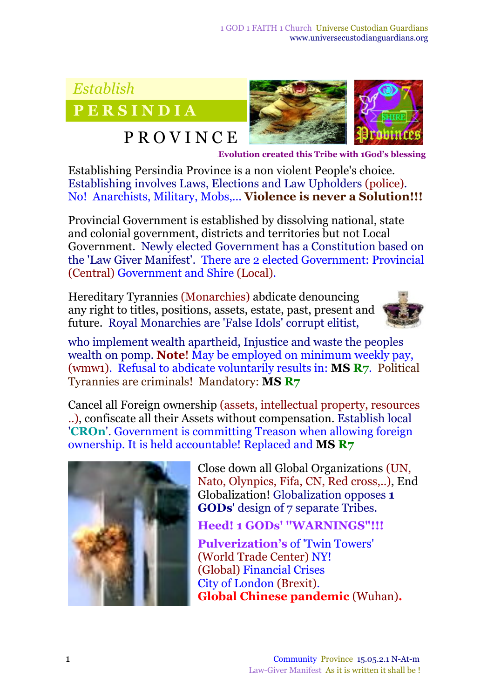## *Establish*

**P E R S I N D I A**

## P R O V I N C E



<sup>E</sup>**Evolution created this Tribe with 1God's blessing**

Establishing Persindia Province is a non violent People's choice. Establishing involves Laws, Elections and Law Upholders (police)*.* No! Anarchists, Military, Mobs,... **Violence is never a Solution!!!**

Provincial Government is established by dissolving national, state and colonial government, districts and territories but not Local Government. Newly elected Government has a Constitution based on the 'Law Giver Manifest'. There are 2 elected Government: Provincial (Central) Government and Shire (Local)*.*

Hereditary Tyrannies (Monarchies) abdicate denouncing any right to titles, positions, assets, estate, past, present and future. Royal Monarchies are 'False Idols' corrupt elitist,



who implement wealth apartheid, Injustice and waste the peoples wealth on pomp. **Note**! May be employed on minimum weekly pay, (wmw1). Refusal to abdicate voluntarily results in: **MS R7***.* Political Tyrannies are criminals! Mandatory: **MS R7**

Cancel all Foreign ownership (assets, intellectual property, resources ..), confiscate all their Assets without compensation. Establish local '**CROn**'. Government is committing Treason when allowing foreign ownership. It is held accountable! Replaced and **MS R7**



Close down all Global Organizations (UN, Nato, Olynpics, Fifa, CN, Red cross,..), End Globalization! Globalization opposes **1 GODs**' design of 7 separate Tribes.

**Heed! 1 GODs' ''WARNINGS"!!!**

**Pulverization's** of 'Twin Towers' (World Trade Center) NY! (Global) Financial Crises City of London (Brexit). **Global Chinese pandemic** (Wuhan)**.**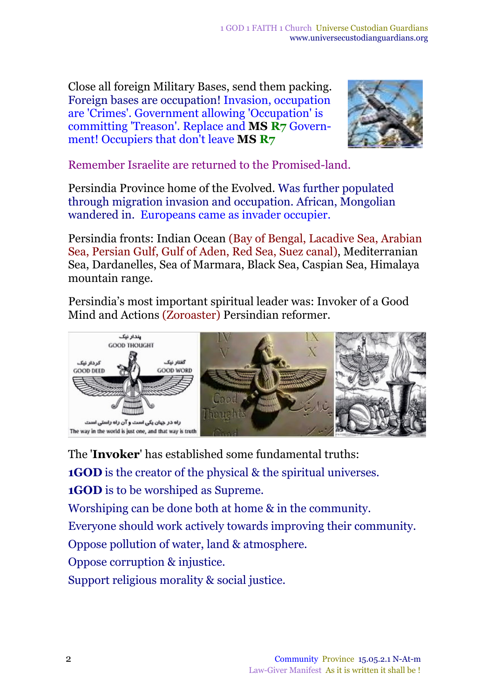Close all foreign Military Bases, send them packing. Foreign bases are occupation! Invasion, occupation are 'Crimes'. Government allowing 'Occupation' is committing 'Treason'. Replace and **MS R7** Government! Occupiers that don't leave **MS R7**



Remember Israelite are returned to the Promised-land.

Persindia Province home of the Evolved. Was further populated through migration invasion and occupation. African, Mongolian wandered in. Europeans came as invader occupier.

Persindia fronts: Indian Ocean (Bay of Bengal, Lacadive Sea, Arabian Sea, Persian Gulf, Gulf of Aden, Red Sea, Suez canal), Mediterranian Sea, Dardanelles, Sea of Marmara, Black Sea, Caspian Sea, Himalaya mountain range.

Persindia's most important spiritual leader was: Invoker of a Good Mind and Actions (Zoroaster) Persindian reformer.



The '**Invoker**' has established some fundamental truths:

**1GOD** is the creator of the physical & the spiritual universes.

**1GOD** is to be worshiped as Supreme.

Worshiping can be done both at home & in the community.

Everyone should work actively towards improving their community.

Oppose pollution of water, land & atmosphere.

Oppose corruption & injustice.

Support religious morality & social justice.